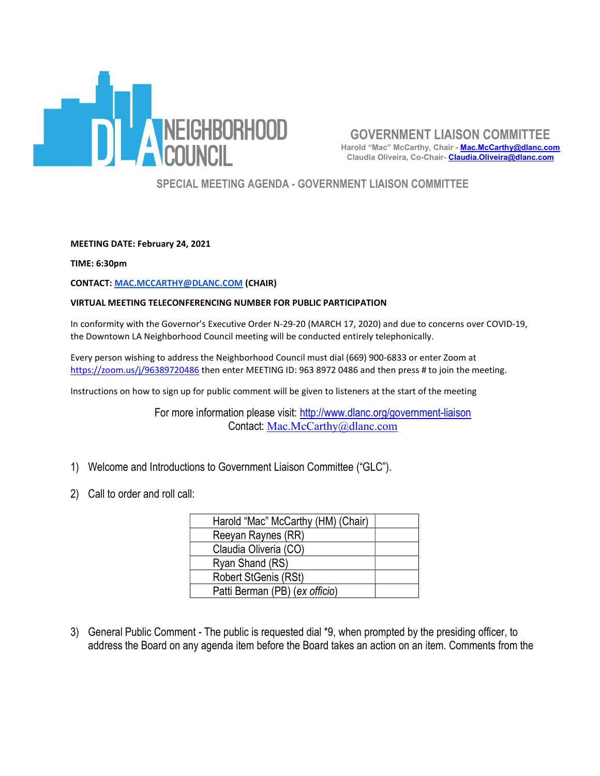

GOVERNMENT LIAISON COMMITTEE Harold "Mac" McCarthy, Chair - Mac.McCarthy@dlanc.com Claudia Oliveira, Co-Chair- Claudia.Oliveira@dlanc.com

SPECIAL MEETING AGENDA - GOVERNMENT LIAISON COMMITTEE

MEETING DATE: February 24, 2021

TIME: 6:30pm

CONTACT: MAC.MCCARTHY@DLANC.COM (CHAIR)

## VIRTUAL MEETING TELECONFERENCING NUMBER FOR PUBLIC PARTICIPATION

In conformity with the Governor's Executive Order N-29-20 (MARCH 17, 2020) and due to concerns over COVID-19, the Downtown LA Neighborhood Council meeting will be conducted entirely telephonically.

Every person wishing to address the Neighborhood Council must dial (669) 900-6833 or enter Zoom at https://zoom.us/j/96389720486 then enter MEETING ID: 963 8972 0486 and then press # to join the meeting.

Instructions on how to sign up for public comment will be given to listeners at the start of the meeting

For more information please visit: http://www.dlanc.org/government-liaison Contact: Mac.McCarthy@dlanc.com

- 1) Welcome and Introductions to Government Liaison Committee ("GLC").
- 2) Call to order and roll call:

| Harold "Mac" McCarthy (HM) (Chair) |  |
|------------------------------------|--|
| Reeyan Raynes (RR)                 |  |
| Claudia Oliveria (CO)              |  |
| Ryan Shand (RS)                    |  |
| Robert StGenis (RSt)               |  |
| Patti Berman (PB) (ex officio)     |  |

3) General Public Comment - The public is requested dial \*9, when prompted by the presiding officer, to address the Board on any agenda item before the Board takes an action on an item. Comments from the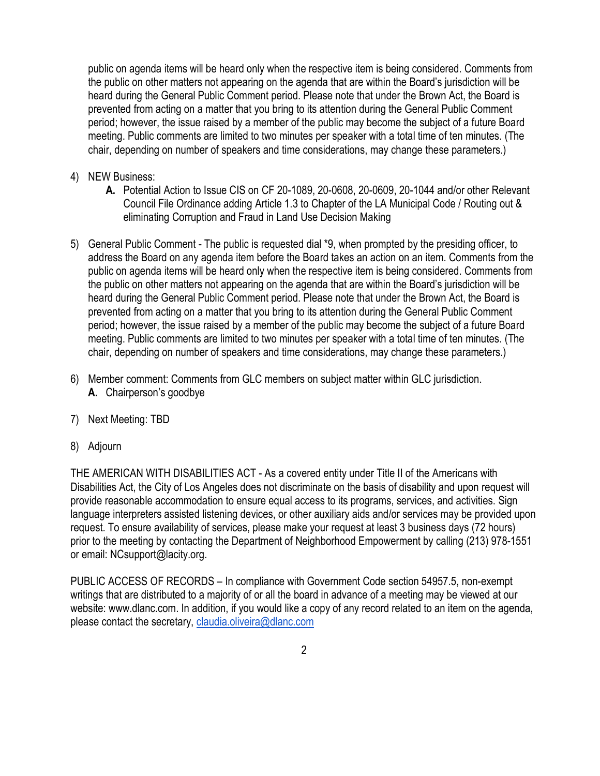public on agenda items will be heard only when the respective item is being considered. Comments from the public on other matters not appearing on the agenda that are within the Board's jurisdiction will be heard during the General Public Comment period. Please note that under the Brown Act, the Board is prevented from acting on a matter that you bring to its attention during the General Public Comment period; however, the issue raised by a member of the public may become the subject of a future Board meeting. Public comments are limited to two minutes per speaker with a total time of ten minutes. (The chair, depending on number of speakers and time considerations, may change these parameters.)

- 4) NEW Business:
	- A. Potential Action to Issue CIS on CF 20-1089, 20-0608, 20-0609, 20-1044 and/or other Relevant Council File Ordinance adding Article 1.3 to Chapter of the LA Municipal Code / Routing out & eliminating Corruption and Fraud in Land Use Decision Making
- 5) General Public Comment The public is requested dial \*9, when prompted by the presiding officer, to address the Board on any agenda item before the Board takes an action on an item. Comments from the public on agenda items will be heard only when the respective item is being considered. Comments from the public on other matters not appearing on the agenda that are within the Board's jurisdiction will be heard during the General Public Comment period. Please note that under the Brown Act, the Board is prevented from acting on a matter that you bring to its attention during the General Public Comment period; however, the issue raised by a member of the public may become the subject of a future Board meeting. Public comments are limited to two minutes per speaker with a total time of ten minutes. (The chair, depending on number of speakers and time considerations, may change these parameters.)
- 6) Member comment: Comments from GLC members on subject matter within GLC jurisdiction. A. Chairperson's goodbye
- 7) Next Meeting: TBD
- 8) Adjourn

THE AMERICAN WITH DISABILITIES ACT - As a covered entity under Title II of the Americans with Disabilities Act, the City of Los Angeles does not discriminate on the basis of disability and upon request will provide reasonable accommodation to ensure equal access to its programs, services, and activities. Sign language interpreters assisted listening devices, or other auxiliary aids and/or services may be provided upon request. To ensure availability of services, please make your request at least 3 business days (72 hours) prior to the meeting by contacting the Department of Neighborhood Empowerment by calling (213) 978-1551 or email: NCsupport@lacity.org.

PUBLIC ACCESS OF RECORDS – In compliance with Government Code section 54957.5, non-exempt writings that are distributed to a majority of or all the board in advance of a meeting may be viewed at our website: www.dlanc.com. In addition, if you would like a copy of any record related to an item on the agenda, please contact the secretary, claudia.oliveira@dlanc.com